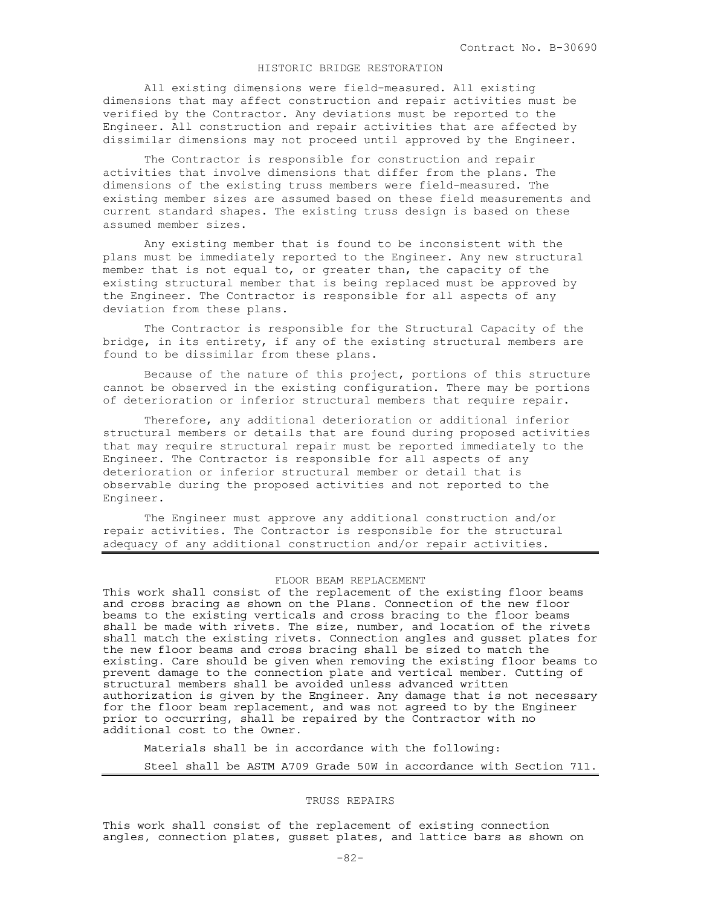# HISTORIC BRIDGE RESTORATION

All existing dimensions were field-measured. All existing dimensions that may affect construction and repair activities must be verified by the Contractor. Any deviations must be reported to the Engineer. All construction and repair activities that are affected by dissimilar dimensions may not proceed until approved by the Engineer.

The Contractor is responsible for construction and repair activities that involve dimensions that differ from the plans. The dimensions of the existing truss members were field-measured. The existing member sizes are assumed based on these field measurements and current standard shapes. The existing truss design is based on these assumed member sizes.

Any existing member that is found to be inconsistent with the plans must be immediately reported to the Engineer. Any new structural member that is not equal to, or greater than, the capacity of the existing structural member that is being replaced must be approved by the Engineer. The Contractor is responsible for all aspects of any deviation from these plans.

The Contractor is responsible for the Structural Capacity of the bridge, in its entirety, if any of the existing structural members are found to be dissimilar from these plans.

Because of the nature of this project, portions of this structure cannot be observed in the existing configuration. There may be portions of deterioration or inferior structural members that require repair.

Therefore, any additional deterioration or additional inferior structural members or details that are found during proposed activities that may require structural repair must be reported immediately to the Engineer. The Contractor is responsible for all aspects of any deterioration or inferior structural member or detail that is observable during the proposed activities and not reported to the Engineer.

The Engineer must approve any additional construction and/or repair activities. The Contractor is responsible for the structural adequacy of any additional construction and/or repair activities.

## FLOOR BEAM REPLACEMENT

This work shall consist of the replacement of the existing floor beams and cross bracing as shown on the Plans. Connection of the new floor beams to the existing verticals and cross bracing to the floor beams shall be made with rivets. The size, number, and location of the rivets shall match the existing rivets. Connection angles and gusset plates for the new floor beams and cross bracing shall be sized to match the existing. Care should be given when removing the existing floor beams to prevent damage to the connection plate and vertical member. Cutting of structural members shall be avoided unless advanced written authorization is given by the Engineer. Any damage that is not necessary for the floor beam replacement, and was not agreed to by the Engineer prior to occurring, shall be repaired by the Contractor with no additional cost to the Owner.

Materials shall be in accordance with the following:

## Steel shall be ASTM A709 Grade 50W in accordance with Section 711.

## TRUSS REPAIRS

This work shall consist of the replacement of existing connection angles, connection plates, gusset plates, and lattice bars as shown on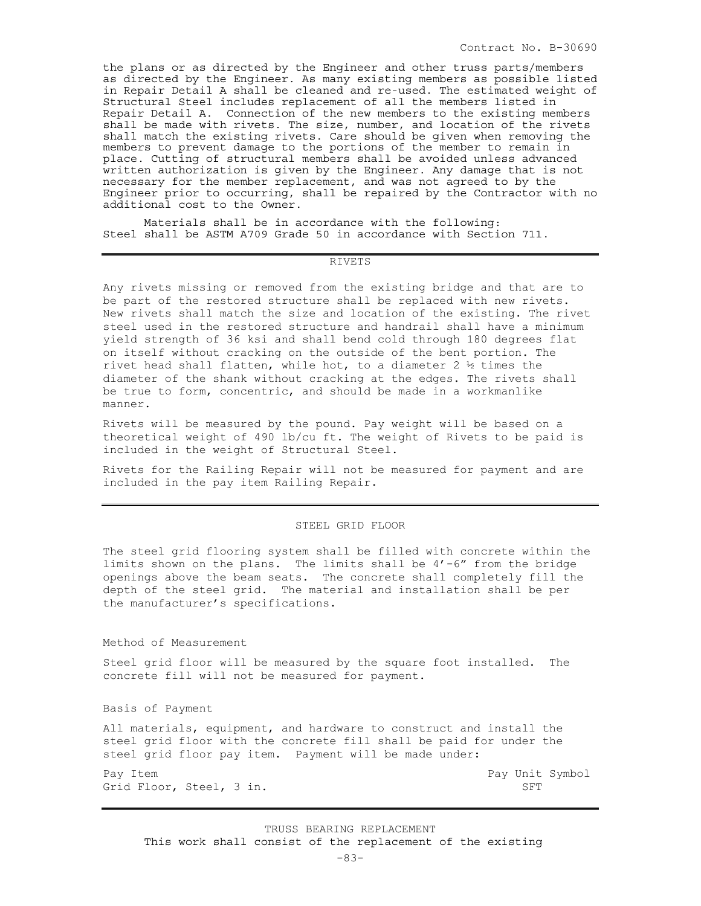the plans or as directed by the Engineer and other truss parts/members as directed by the Engineer. As many existing members as possible listed in Repair Detail A shall be cleaned and re-used. The estimated weight of Structural Steel includes replacement of all the members listed in Repair Detail A. Connection of the new members to the existing members shall be made with rivets. The size, number, and location of the rivets shall match the existing rivets. Care should be given when removing the members to prevent damage to the portions of the member to remain in place. Cutting of structural members shall be avoided unless advanced written authorization is given by the Engineer. Any damage that is not necessary for the member replacement, and was not agreed to by the Engineer prior to occurring, shall be repaired by the Contractor with no additional cost to the Owner.

Materials shall be in accordance with the following: Steel shall be ASTM A709 Grade 50 in accordance with Section 711.

## RIVETS

Any rivets missing or removed from the existing bridge and that are to be part of the restored structure shall be replaced with new rivets. New rivets shall match the size and location of the existing. The rivet steel used in the restored structure and handrail shall have a minimum yield strength of 36 ksi and shall bend cold through 180 degrees flat on itself without cracking on the outside of the bent portion. The rivet head shall flatten, while hot, to a diameter 2  $\frac{1}{2}$  times the diameter of the shank without cracking at the edges. The rivets shall be true to form, concentric, and should be made in a workmanlike manner.

Rivets will be measured by the pound. Pay weight will be based on a theoretical weight of 490 lb/cu ft. The weight of Rivets to be paid is included in the weight of Structural Steel.

Rivets for the Railing Repair will not be measured for payment and are included in the pay item Railing Repair.

#### STEEL GRID FLOOR

The steel grid flooring system shall be filled with concrete within the limits shown on the plans. The limits shall be  $4'-6''$  from the bridge openings above the beam seats. The concrete shall completely fill the depth of the steel grid. The material and installation shall be per the manufacturer's specifications.

Method of Measurement

Steel grid floor will be measured by the square foot installed. The concrete fill will not be measured for payment.

Basis of Payment

All materials, equipment, and hardware to construct and install the steel grid floor with the concrete fill shall be paid for under the steel grid floor pay item. Payment will be made under:

Pay Item  $\qquad$  Pay Unit Symbol Grid Floor, Steel, 3 in. SFT

TRUSS BEARING REPLACEMENT This work shall consist of the replacement of the existing